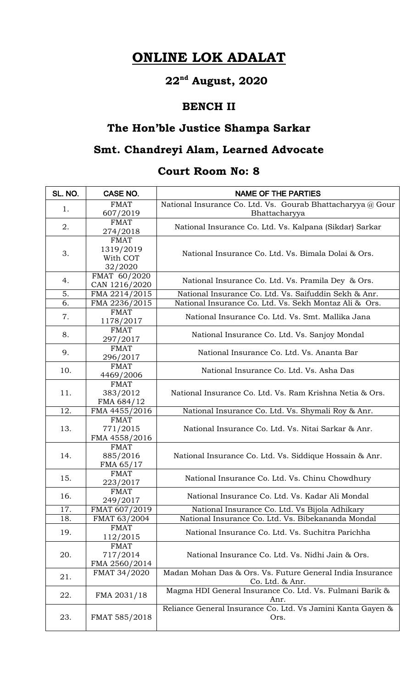# **ONLINE LOK ADALAT**

# **22nd August, 2020**

#### **BENCH II**

## **The Hon'ble Justice Shampa Sarkar**

### **Smt. Chandreyi Alam, Learned Advocate**

#### **Court Room No: 8**

| SL. NO. | CASE NO.                                        | <b>NAME OF THE PARTIES</b>                                                   |
|---------|-------------------------------------------------|------------------------------------------------------------------------------|
| 1.      | <b>FMAT</b><br>607/2019                         | National Insurance Co. Ltd. Vs. Gourab Bhattacharyya @ Gour<br>Bhattacharyya |
| 2.      | <b>FMAT</b><br>274/2018                         | National Insurance Co. Ltd. Vs. Kalpana (Sikdar) Sarkar                      |
| 3.      | <b>FMAT</b><br>1319/2019<br>With COT<br>32/2020 | National Insurance Co. Ltd. Vs. Bimala Dolai & Ors.                          |
| 4.      | FMAT 60/2020<br>CAN 1216/2020                   | National Insurance Co. Ltd. Vs. Pramila Dey & Ors.                           |
| 5.      | FMA 2214/2015                                   | National Insurance Co. Ltd. Vs. Saifuddin Sekh & Anr.                        |
| 6.      | FMA 2236/2015                                   | National Insurance Co. Ltd. Vs. Sekh Montaz Ali & Ors.                       |
| 7.      | <b>FMAT</b><br>1178/2017                        | National Insurance Co. Ltd. Vs. Smt. Mallika Jana                            |
| 8.      | <b>FMAT</b><br>297/2017                         | National Insurance Co. Ltd. Vs. Sanjoy Mondal                                |
| 9.      | <b>FMAT</b><br>296/2017                         | National Insurance Co. Ltd. Vs. Ananta Bar                                   |
| 10.     | <b>FMAT</b><br>4469/2006                        | National Insurance Co. Ltd. Vs. Asha Das                                     |
| 11.     | <b>FMAT</b><br>383/2012<br>FMA 684/12           | National Insurance Co. Ltd. Vs. Ram Krishna Netia & Ors.                     |
| 12.     | FMA 4455/2016                                   | National Insurance Co. Ltd. Vs. Shymali Roy & Anr.                           |
| 13.     | <b>FMAT</b><br>771/2015<br>FMA 4558/2016        | National Insurance Co. Ltd. Vs. Nitai Sarkar & Anr.                          |
| 14.     | <b>FMAT</b><br>885/2016<br>FMA 65/17            | National Insurance Co. Ltd. Vs. Siddique Hossain & Anr.                      |
| 15.     | <b>FMAT</b><br>223/2017                         | National Insurance Co. Ltd. Vs. Chinu Chowdhury                              |
| 16.     | <b>FMAT</b><br>249/2017                         | National Insurance Co. Ltd. Vs. Kadar Ali Mondal                             |
| 17.     | FMAT 607/2019                                   | National Insurance Co. Ltd. Vs Bijola Adhikary                               |
| 18.     | FMAT 63/2004                                    | National Insurance Co. Ltd. Vs. Bibekananda Mondal                           |
| 19.     | <b>FMAT</b><br>112/2015                         | National Insurance Co. Ltd. Vs. Suchitra Parichha                            |
| 20.     | <b>FMAT</b><br>717/2014<br>FMA 2560/2014        | National Insurance Co. Ltd. Vs. Nidhi Jain & Ors.                            |
| 21.     | FMAT 34/2020                                    | Madan Mohan Das & Ors. Vs. Future General India Insurance<br>Co. Ltd. & Anr. |
| 22.     | FMA 2031/18                                     | Magma HDI General Insurance Co. Ltd. Vs. Fulmani Barik &<br>Anr.             |
| 23.     | FMAT 585/2018                                   | Reliance General Insurance Co. Ltd. Vs Jamini Kanta Gayen &<br>Ors.          |